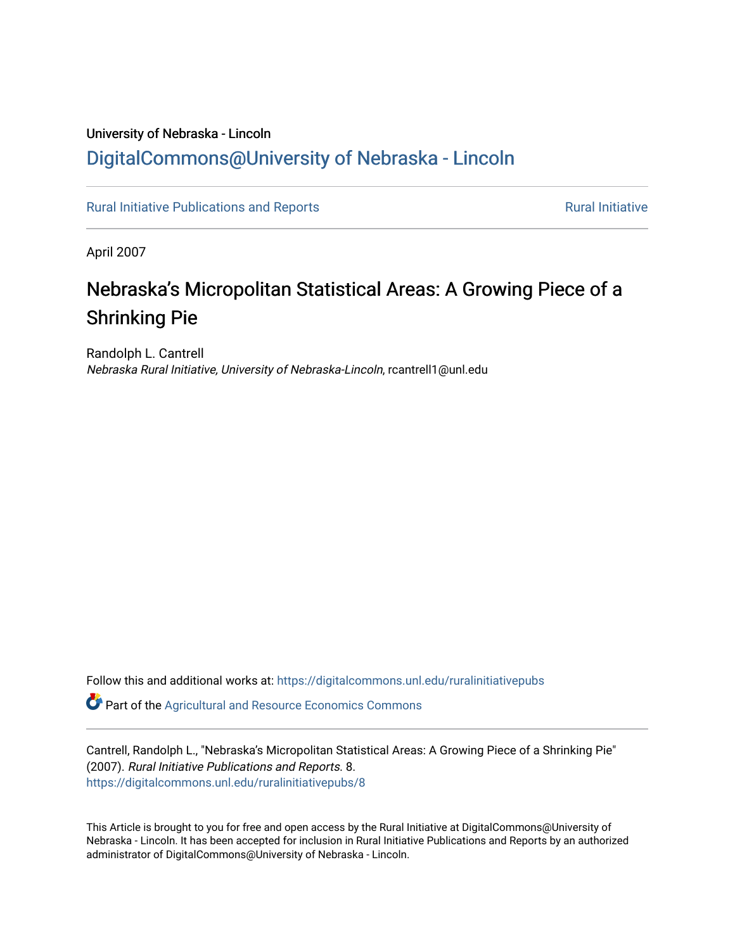# University of Nebraska - Lincoln [DigitalCommons@University of Nebraska - Lincoln](https://digitalcommons.unl.edu/)

[Rural Initiative Publications and Reports](https://digitalcommons.unl.edu/ruralinitiativepubs) **[Rural Initiative](https://digitalcommons.unl.edu/rural_initiative) Rural Initiative** Rural Initiative

April 2007

# Nebraska's Micropolitan Statistical Areas: A Growing Piece of a Shrinking Pie

Randolph L. Cantrell Nebraska Rural Initiative, University of Nebraska-Lincoln, rcantrell1@unl.edu

Follow this and additional works at: [https://digitalcommons.unl.edu/ruralinitiativepubs](https://digitalcommons.unl.edu/ruralinitiativepubs?utm_source=digitalcommons.unl.edu%2Fruralinitiativepubs%2F8&utm_medium=PDF&utm_campaign=PDFCoverPages) 

**P** Part of the Agricultural and Resource Economics Commons

Cantrell, Randolph L., "Nebraska's Micropolitan Statistical Areas: A Growing Piece of a Shrinking Pie" (2007). Rural Initiative Publications and Reports. 8. [https://digitalcommons.unl.edu/ruralinitiativepubs/8](https://digitalcommons.unl.edu/ruralinitiativepubs/8?utm_source=digitalcommons.unl.edu%2Fruralinitiativepubs%2F8&utm_medium=PDF&utm_campaign=PDFCoverPages) 

This Article is brought to you for free and open access by the Rural Initiative at DigitalCommons@University of Nebraska - Lincoln. It has been accepted for inclusion in Rural Initiative Publications and Reports by an authorized administrator of DigitalCommons@University of Nebraska - Lincoln.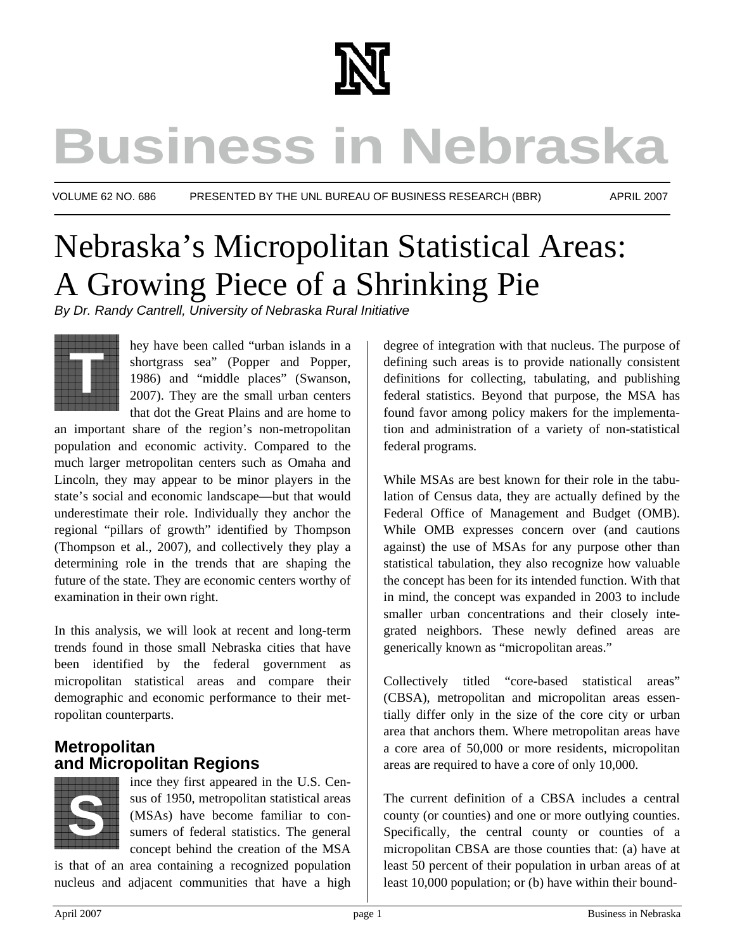

# **Business in Nebraska**

VOLUME 62 NO. 686 PRESENTED BY THE UNL BUREAU OF BUSINESS RESEARCH (BBR) APRIL 2007

# Nebraska's Micropolitan Statistical Areas: A Growing Piece of a Shrinking Pie

*By Dr. Randy Cantrell, University of Nebraska Rural Initiative* 



hey have been called "urban islands in a shortgrass sea" (Popper and Popper, 1986) and "middle places" (Swanson, 2007). They are the small urban centers that dot the Great Plains and are home to

an important share of the region's non-metropolitan population and economic activity. Compared to the much larger metropolitan centers such as Omaha and Lincoln, they may appear to be minor players in the state's social and economic landscape—but that would underestimate their role. Individually they anchor the regional "pillars of growth" identified by Thompson (Thompson et al., 2007), and collectively they play a determining role in the trends that are shaping the future of the state. They are economic centers worthy of examination in their own right.

In this analysis, we will look at recent and long-term trends found in those small Nebraska cities that have been identified by the federal government as micropolitan statistical areas and compare their demographic and economic performance to their metropolitan counterparts.

# **Metropolitan and Micropolitan Regions**



ince they first appeared in the U.S. Census of 1950, metropolitan statistical areas (MSAs) have become familiar to consumers of federal statistics. The general concept behind the creation of the MSA

is that of an area containing a recognized population nucleus and adjacent communities that have a high

degree of integration with that nucleus. The purpose of defining such areas is to provide nationally consistent definitions for collecting, tabulating, and publishing federal statistics. Beyond that purpose, the MSA has found favor among policy makers for the implementation and administration of a variety of non-statistical federal programs.

While MSAs are best known for their role in the tabulation of Census data, they are actually defined by the Federal Office of Management and Budget (OMB). While OMB expresses concern over (and cautions against) the use of MSAs for any purpose other than statistical tabulation, they also recognize how valuable the concept has been for its intended function. With that in mind, the concept was expanded in 2003 to include smaller urban concentrations and their closely integrated neighbors. These newly defined areas are generically known as "micropolitan areas."

Collectively titled "core-based statistical areas" (CBSA), metropolitan and micropolitan areas essentially differ only in the size of the core city or urban area that anchors them. Where metropolitan areas have a core area of 50,000 or more residents, micropolitan areas are required to have a core of only 10,000.

The current definition of a CBSA includes a central county (or counties) and one or more outlying counties. Specifically, the central county or counties of a micropolitan CBSA are those counties that: (a) have at least 50 percent of their population in urban areas of at least 10,000 population; or (b) have within their bound-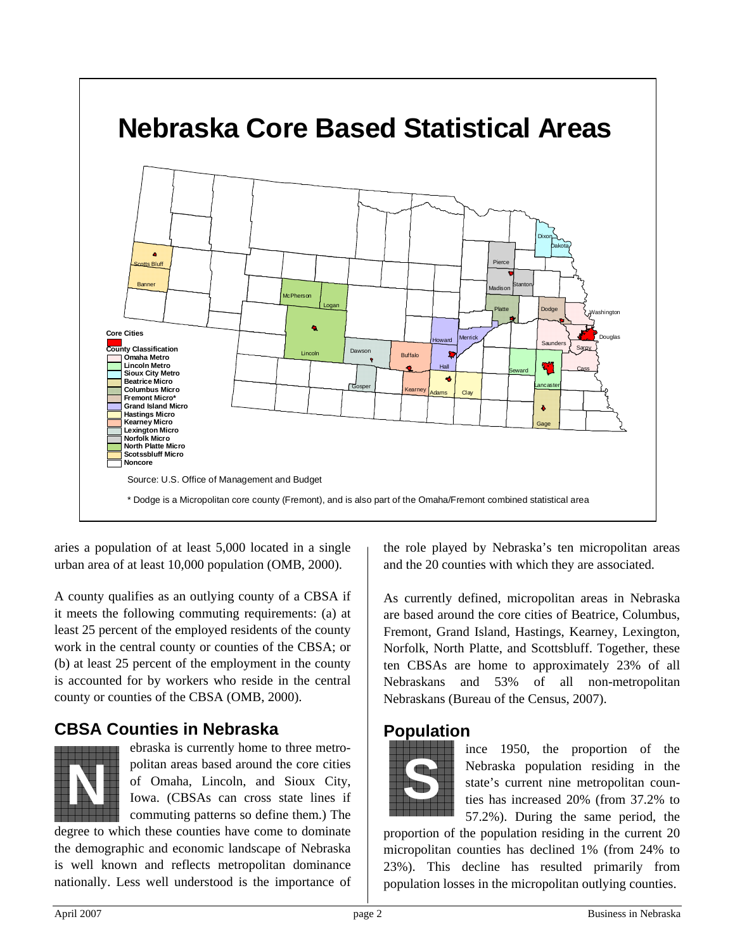

aries a population of at least 5,000 located in a single urban area of at least 10,000 population (OMB, 2000).

A county qualifies as an outlying county of a CBSA if it meets the following commuting requirements: (a) at least 25 percent of the employed residents of the county work in the central county or counties of the CBSA; or (b) at least 25 percent of the employment in the county is accounted for by workers who reside in the central county or counties of the CBSA (OMB, 2000).

# **CBSA Counties in Nebraska**



ebraska is currently home to three metropolitan areas based around the core cities of Omaha, Lincoln, and Sioux City, Iowa. (CBSAs can cross state lines if commuting patterns so define them.) The politan areas based around the core cities<br>of Omaha, Lincoln, and Sioux City,<br>Iowa. (CBSAs can cross state lines if<br>commuting patterns so define them.) The

degree to which these counties have come to dominate the demographic and economic landscape of Nebraska is well known and reflects metropolitan dominance nationally. Less well understood is the importance of the role played by Nebraska's ten micropolitan areas and the 20 counties with which they are associated.

As currently defined, micropolitan areas in Nebraska are based around the core cities of Beatrice, Columbus, Fremont, Grand Island, Hastings, Kearney, Lexington, Norfolk, North Platte, and Scottsbluff. Together, these ten CBSAs are home to approximately 23% of all Nebraskans and 53% of all non-metropolitan Nebraskans (Bureau of the Census, 2007).

## **Population**



ince 1950, the proportion of the Nebraska population residing in the state's current nine metropolitan counties has increased 20% (from 37.2% to 57.2%). During the same period, the

proportion of the population residing in the current 20 micropolitan counties has declined 1% (from 24% to 23%). This decline has resulted primarily from population losses in the micropolitan outlying counties.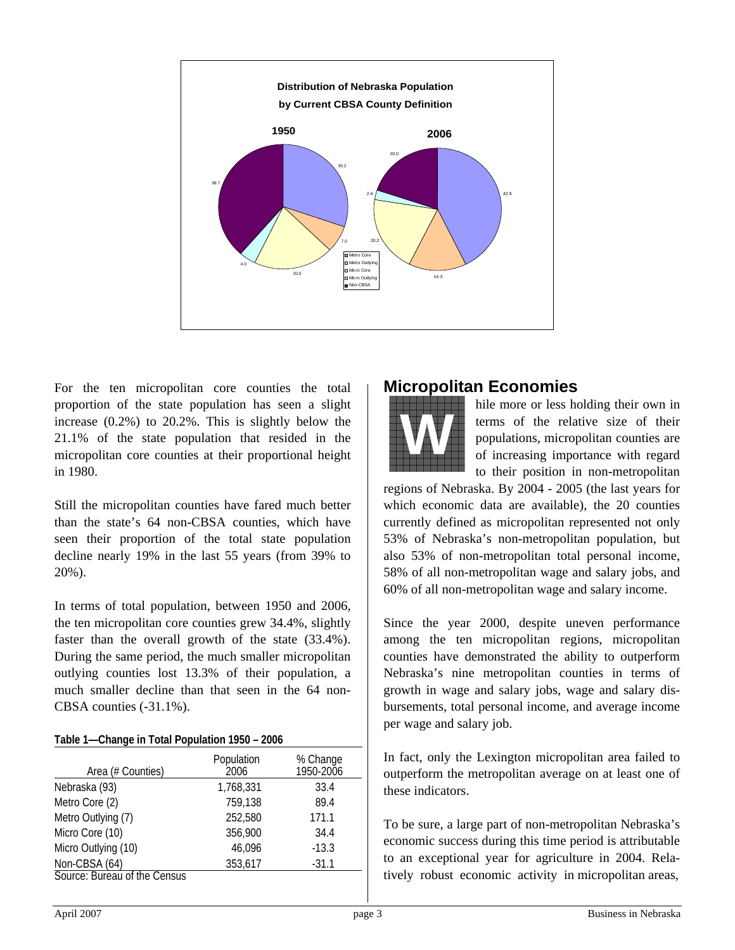

For the ten micropolitan core counties the total proportion of the state population has seen a slight increase (0.2%) to 20.2%. This is slightly below the 21.1% of the state population that resided in the micropolitan core counties at their proportional height in 1980.

Still the micropolitan counties have fared much better than the state's 64 non-CBSA counties, which have seen their proportion of the total state population decline nearly 19% in the last 55 years (from 39% to 20%).

In terms of total population, between 1950 and 2006, the ten micropolitan core counties grew 34.4%, slightly faster than the overall growth of the state (33.4%). During the same period, the much smaller micropolitan outlying counties lost 13.3% of their population, a much smaller decline than that seen in the 64 non-CBSA counties (-31.1%).

#### **Table 1—Change in Total Population 1950 – 2006**

| Area (# Counties)            | Population<br>2006 | % Change<br>1950-2006 |
|------------------------------|--------------------|-----------------------|
| Nebraska (93)                | 1,768,331          | 33.4                  |
| Metro Core (2)               | 759,138            | 89.4                  |
| Metro Outlying (7)           | 252,580            | 171.1                 |
| Micro Core (10)              | 356,900            | 34.4                  |
| Micro Outlying (10)          | 46,096             | $-13.3$               |
| Non-CBSA (64)                | 353,617            | $-31.1$               |
| Source: Bureau of the Census |                    |                       |

# **Micropolitan Economies**



hile more or less holding their own in terms of the relative size of their populations, micropolitan counties are of increasing importance with regard to their position in non-metropolitan

regions of Nebraska. By 2004 - 2005 (the last years for which economic data are available), the 20 counties currently defined as micropolitan represented not only 53% of Nebraska's non-metropolitan population, but also 53% of non-metropolitan total personal income, 58% of all non-metropolitan wage and salary jobs, and 60% of all non-metropolitan wage and salary income.

Since the year 2000, despite uneven performance among the ten micropolitan regions, micropolitan counties have demonstrated the ability to outperform Nebraska's nine metropolitan counties in terms of growth in wage and salary jobs, wage and salary disbursements, total personal income, and average income per wage and salary job.

In fact, only the Lexington micropolitan area failed to outperform the metropolitan average on at least one of these indicators.

To be sure, a large part of non-metropolitan Nebraska's economic success during this time period is attributable to an exceptional year for agriculture in 2004. Relatively robust economic activity in micropolitan areas,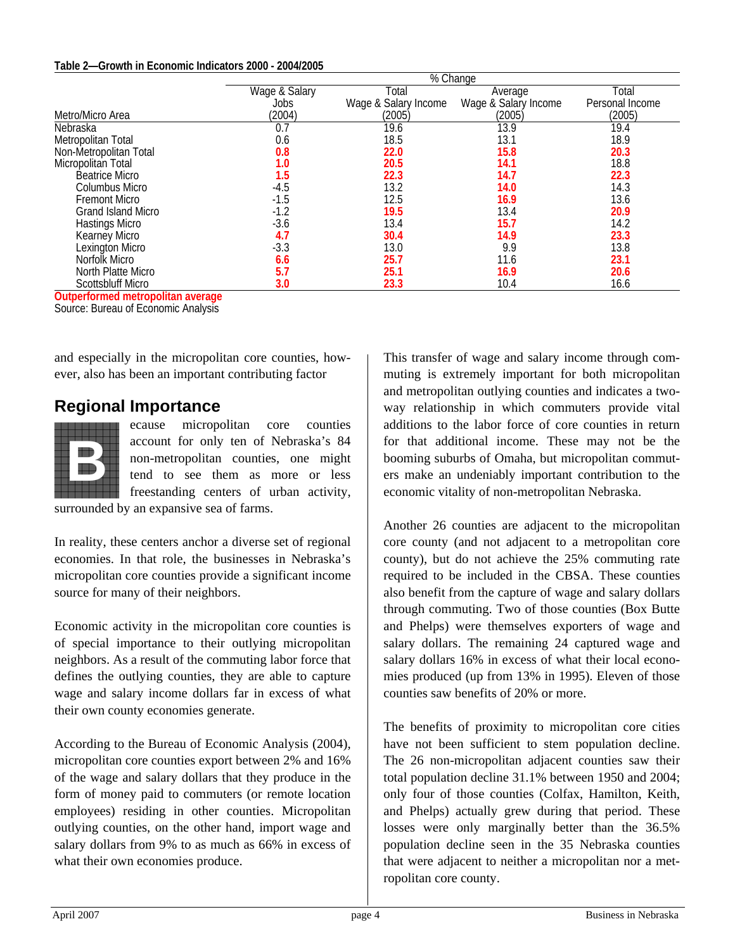#### **Table 2—Growth in Economic Indicators 2000 - 2004/2005**

|                           | % Change      |                      |                      |                 |
|---------------------------|---------------|----------------------|----------------------|-----------------|
|                           | Wage & Salary | Total                | Average              | Total           |
|                           | Jobs          | Wage & Salary Income | Wage & Salary Income | Personal Income |
| Metro/Micro Area          | (2004)        | (2005)               | (2005)               | (2005)          |
| Nebraska                  | 0.7           | 19.6                 | 13.9                 | 19.4            |
| Metropolitan Total        | 0.6           | 18.5                 | 13.1                 | 18.9            |
| Non-Metropolitan Total    | 0.8           | 22.0                 | 15.8                 | 20.3            |
| Micropolitan Total        | 1.0           | 20.5                 | 14.1                 | 18.8            |
| <b>Beatrice Micro</b>     | 1.5           | 22.3                 | 14.7                 | 22.3            |
| Columbus Micro            | -4.5          | 13.2                 | 14.0                 | 14.3            |
| <b>Fremont Micro</b>      | $-1.5$        | 12.5                 | 16.9                 | 13.6            |
| <b>Grand Island Micro</b> | $-1.2$        | 19.5                 | 13.4                 | 20.9            |
| <b>Hastings Micro</b>     | $-3.6$        | 13.4                 | 15.7                 | 14.2            |
| Kearney Micro             | 4.7           | 30.4                 | 14.9                 | 23.3            |
| Lexington Micro           | $-3.3$        | 13.0                 | 9.9                  | 13.8            |
| Norfolk Micro             | 6.6           | 25.7                 | 11.6                 | 23.1            |
| North Platte Micro        | 5.7           | 25.1                 | 16.9                 | 20.6            |
| <b>Scottsbluff Micro</b>  | 3.0           | 23.3                 | 10.4                 | 16.6            |

**Outperformed metropolitan average** 

Source: Bureau of Economic Analysis

and especially in the micropolitan core counties, however, also has been an important contributing factor

## **Regional Importance**



ecause micropolitan core counties account for only ten of Nebraska's 84 non-metropolitan counties, one might tend to see them as more or less freestanding centers of urban activity,

surrounded by an expansive sea of farms.

In reality, these centers anchor a diverse set of regional economies. In that role, the businesses in Nebraska's micropolitan core counties provide a significant income source for many of their neighbors.

Economic activity in the micropolitan core counties is of special importance to their outlying micropolitan neighbors. As a result of the commuting labor force that defines the outlying counties, they are able to capture wage and salary income dollars far in excess of what their own county economies generate.

According to the Bureau of Economic Analysis (2004), micropolitan core counties export between 2% and 16% of the wage and salary dollars that they produce in the form of money paid to commuters (or remote location employees) residing in other counties. Micropolitan outlying counties, on the other hand, import wage and salary dollars from 9% to as much as 66% in excess of what their own economies produce.

This transfer of wage and salary income through commuting is extremely important for both micropolitan and metropolitan outlying counties and indicates a twoway relationship in which commuters provide vital additions to the labor force of core counties in return for that additional income. These may not be the booming suburbs of Omaha, but micropolitan commuters make an undeniably important contribution to the economic vitality of non-metropolitan Nebraska.

Another 26 counties are adjacent to the micropolitan core county (and not adjacent to a metropolitan core county), but do not achieve the 25% commuting rate required to be included in the CBSA. These counties also benefit from the capture of wage and salary dollars through commuting. Two of those counties (Box Butte and Phelps) were themselves exporters of wage and salary dollars. The remaining 24 captured wage and salary dollars 16% in excess of what their local economies produced (up from 13% in 1995). Eleven of those counties saw benefits of 20% or more.

The benefits of proximity to micropolitan core cities have not been sufficient to stem population decline. The 26 non-micropolitan adjacent counties saw their total population decline 31.1% between 1950 and 2004; only four of those counties (Colfax, Hamilton, Keith, and Phelps) actually grew during that period. These losses were only marginally better than the 36.5% population decline seen in the 35 Nebraska counties that were adjacent to neither a micropolitan nor a metropolitan core county.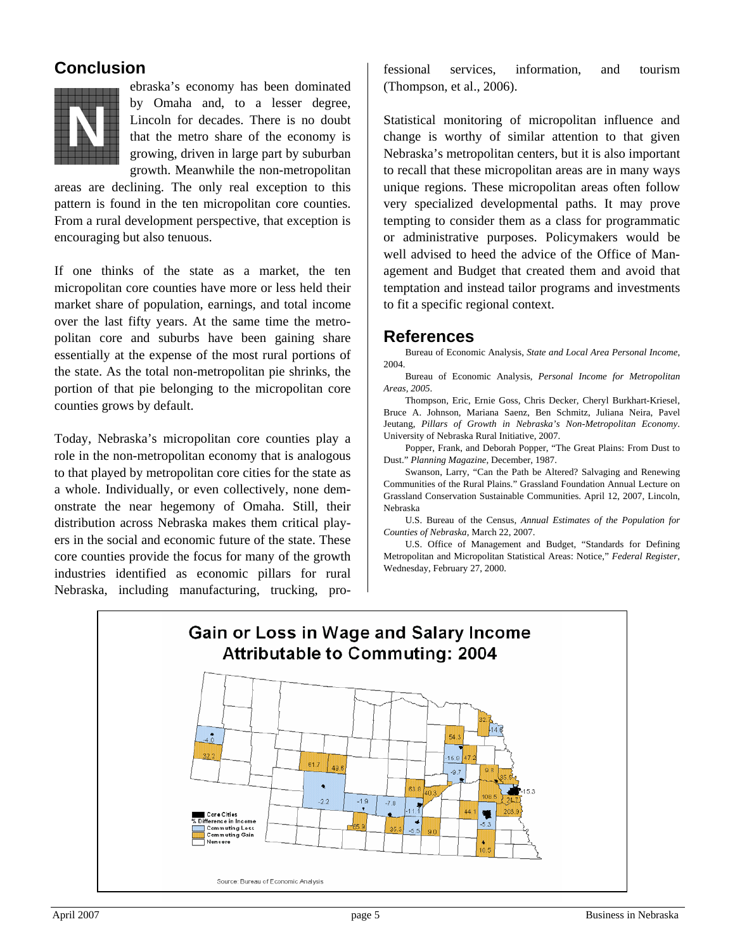# **Conclusion**



ebraska's economy has been dominated by Omaha and, to a lesser degree, Lincoln for decades. There is no doubt that the metro share of the economy is growing, driven in large part by suburban growth. Meanwhile the non-metropolitan

areas are declining. The only real exception to this pattern is found in the ten micropolitan core counties. From a rural development perspective, that exception is encouraging but also tenuous.

If one thinks of the state as a market, the ten micropolitan core counties have more or less held their market share of population, earnings, and total income over the last fifty years. At the same time the metropolitan core and suburbs have been gaining share essentially at the expense of the most rural portions of the state. As the total non-metropolitan pie shrinks, the portion of that pie belonging to the micropolitan core counties grows by default.

Today, Nebraska's micropolitan core counties play a role in the non-metropolitan economy that is analogous to that played by metropolitan core cities for the state as a whole. Individually, or even collectively, none demonstrate the near hegemony of Omaha. Still, their distribution across Nebraska makes them critical players in the social and economic future of the state. These core counties provide the focus for many of the growth industries identified as economic pillars for rural Nebraska, including manufacturing, trucking, professional services, information, and tourism (Thompson, et al., 2006).

Statistical monitoring of micropolitan influence and change is worthy of similar attention to that given Nebraska's metropolitan centers, but it is also important to recall that these micropolitan areas are in many ways unique regions. These micropolitan areas often follow very specialized developmental paths. It may prove tempting to consider them as a class for programmatic or administrative purposes. Policymakers would be well advised to heed the advice of the Office of Management and Budget that created them and avoid that temptation and instead tailor programs and investments to fit a specific regional context.

#### **References**

Bureau of Economic Analysis, *State and Local Area Personal Income*, 2004.

Bureau of Economic Analysis, *Personal Income for Metropolitan Areas, 2005*.

Thompson, Eric, Ernie Goss, Chris Decker, Cheryl Burkhart-Kriesel, Bruce A. Johnson, Mariana Saenz, Ben Schmitz, Juliana Neira, Pavel Jeutang, *Pillars of Growth in Nebraska's Non-Metropolitan Economy*. University of Nebraska Rural Initiative, 2007.

Popper, Frank, and Deborah Popper, "The Great Plains: From Dust to Dust." *Planning Magazine*, December, 1987.

Swanson, Larry, "Can the Path be Altered? Salvaging and Renewing Communities of the Rural Plains." Grassland Foundation Annual Lecture on Grassland Conservation Sustainable Communities. April 12, 2007, Lincoln, Nebraska

U.S. Bureau of the Census, *Annual Estimates of the Population for Counties of Nebraska*, March 22, 2007.

U.S. Office of Management and Budget, "Standards for Defining Metropolitan and Micropolitan Statistical Areas: Notice," *Federal Register*, Wednesday, February 27, 2000.